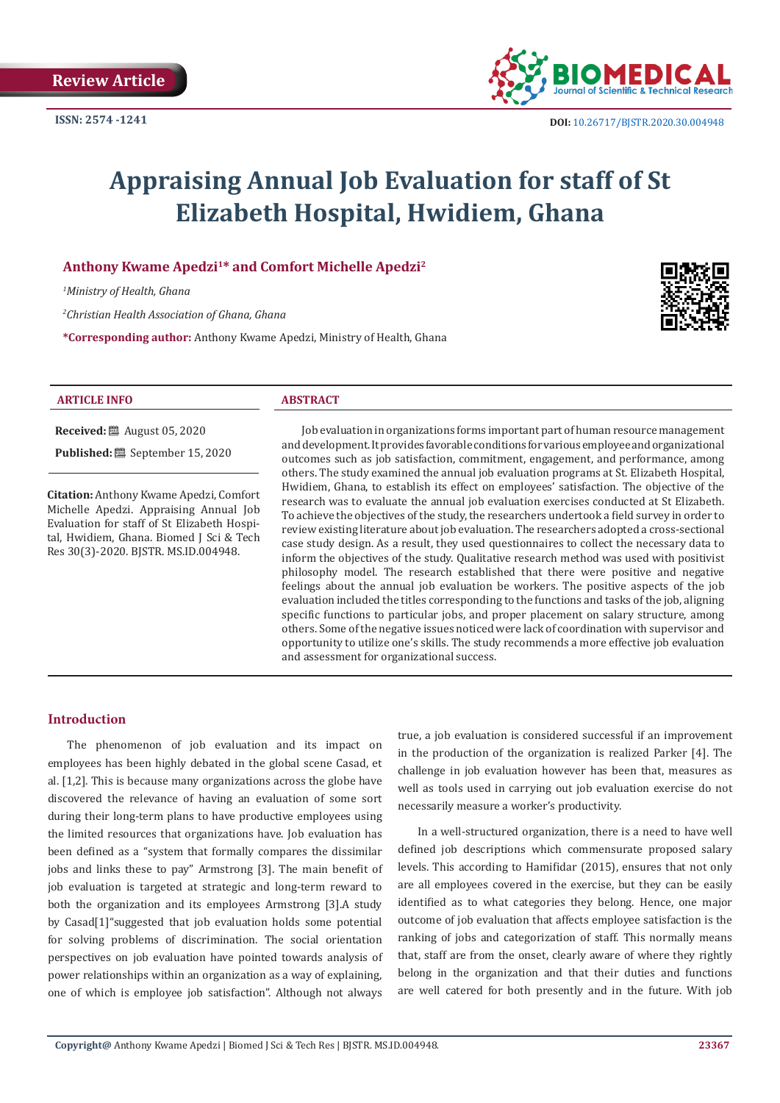

# **Appraising Annual Job Evaluation for staff of St Elizabeth Hospital, Hwidiem, Ghana**

# **Anthony Kwame Apedzi1\* and Comfort Michelle Apedzi2**

*1 Ministry of Health, Ghana*

*2 Christian Health Association of Ghana, Ghana*

**\*Corresponding author:** Anthony Kwame Apedzi, Ministry of Health, Ghana



#### **ARTICLE INFO ABSTRACT**

**Received:** August 05, 2020 **Published:** September 15, 2020

**Citation:** Anthony Kwame Apedzi, Comfort Michelle Apedzi. Appraising Annual Job Evaluation for staff of St Elizabeth Hospital, Hwidiem, Ghana. Biomed J Sci & Tech Res 30(3)-2020. BJSTR. MS.ID.004948.

Job evaluation in organizations forms important part of human resource management and development. It provides favorable conditions for various employee and organizational outcomes such as job satisfaction, commitment, engagement, and performance, among others. The study examined the annual job evaluation programs at St. Elizabeth Hospital, Hwidiem, Ghana, to establish its effect on employees' satisfaction. The objective of the research was to evaluate the annual job evaluation exercises conducted at St Elizabeth. To achieve the objectives of the study, the researchers undertook a field survey in order to review existing literature about job evaluation. The researchers adopted a cross-sectional case study design. As a result, they used questionnaires to collect the necessary data to inform the objectives of the study. Qualitative research method was used with positivist philosophy model. The research established that there were positive and negative feelings about the annual job evaluation be workers. The positive aspects of the job evaluation included the titles corresponding to the functions and tasks of the job, aligning specific functions to particular jobs, and proper placement on salary structure, among others. Some of the negative issues noticed were lack of coordination with supervisor and opportunity to utilize one's skills. The study recommends a more effective job evaluation and assessment for organizational success.

### **Introduction**

The phenomenon of job evaluation and its impact on employees has been highly debated in the global scene Casad, et al. [1,2]. This is because many organizations across the globe have discovered the relevance of having an evaluation of some sort during their long-term plans to have productive employees using the limited resources that organizations have. Job evaluation has been defined as a "system that formally compares the dissimilar jobs and links these to pay" Armstrong [3]. The main benefit of job evaluation is targeted at strategic and long-term reward to both the organization and its employees Armstrong [3].A study by Casad[1]"suggested that job evaluation holds some potential for solving problems of discrimination. The social orientation perspectives on job evaluation have pointed towards analysis of power relationships within an organization as a way of explaining, one of which is employee job satisfaction". Although not always

true, a job evaluation is considered successful if an improvement in the production of the organization is realized Parker [4]. The challenge in job evaluation however has been that, measures as well as tools used in carrying out job evaluation exercise do not necessarily measure a worker's productivity.

In a well-structured organization, there is a need to have well defined job descriptions which commensurate proposed salary levels. This according to Hamifidar (2015), ensures that not only are all employees covered in the exercise, but they can be easily identified as to what categories they belong. Hence, one major outcome of job evaluation that affects employee satisfaction is the ranking of jobs and categorization of staff. This normally means that, staff are from the onset, clearly aware of where they rightly belong in the organization and that their duties and functions are well catered for both presently and in the future. With job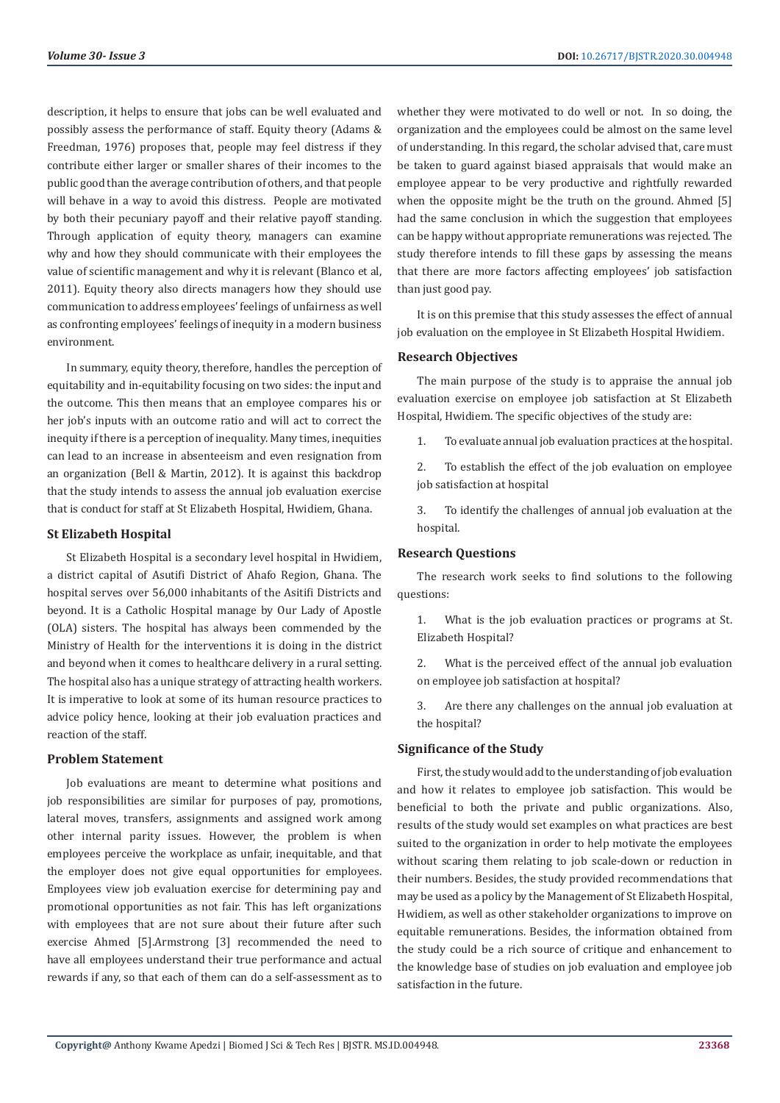description, it helps to ensure that jobs can be well evaluated and possibly assess the performance of staff. Equity theory (Adams & Freedman, 1976) proposes that, people may feel distress if they contribute either larger or smaller shares of their incomes to the public good than the average contribution of others, and that people will behave in a way to avoid this distress. People are motivated by both their pecuniary payoff and their relative payoff standing. Through application of equity theory, managers can examine why and how they should communicate with their employees the value of scientific management and why it is relevant (Blanco et al, 2011). Equity theory also directs managers how they should use communication to address employees' feelings of unfairness as well as confronting employees' feelings of inequity in a modern business environment.

In summary, equity theory, therefore, handles the perception of equitability and in-equitability focusing on two sides: the input and the outcome. This then means that an employee compares his or her job's inputs with an outcome ratio and will act to correct the inequity if there is a perception of inequality. Many times, inequities can lead to an increase in absenteeism and even resignation from an organization (Bell & Martin, 2012). It is against this backdrop that the study intends to assess the annual job evaluation exercise that is conduct for staff at St Elizabeth Hospital, Hwidiem, Ghana.

#### **St Elizabeth Hospital**

St Elizabeth Hospital is a secondary level hospital in Hwidiem, a district capital of Asutifi District of Ahafo Region, Ghana. The hospital serves over 56,000 inhabitants of the Asitifi Districts and beyond. It is a Catholic Hospital manage by Our Lady of Apostle (OLA) sisters. The hospital has always been commended by the Ministry of Health for the interventions it is doing in the district and beyond when it comes to healthcare delivery in a rural setting. The hospital also has a unique strategy of attracting health workers. It is imperative to look at some of its human resource practices to advice policy hence, looking at their job evaluation practices and reaction of the staff.

#### **Problem Statement**

Job evaluations are meant to determine what positions and job responsibilities are similar for purposes of pay, promotions, lateral moves, transfers, assignments and assigned work among other internal parity issues. However, the problem is when employees perceive the workplace as unfair, inequitable, and that the employer does not give equal opportunities for employees. Employees view job evaluation exercise for determining pay and promotional opportunities as not fair. This has left organizations with employees that are not sure about their future after such exercise Ahmed [5].Armstrong [3] recommended the need to have all employees understand their true performance and actual rewards if any, so that each of them can do a self-assessment as to

whether they were motivated to do well or not. In so doing, the organization and the employees could be almost on the same level of understanding. In this regard, the scholar advised that, care must be taken to guard against biased appraisals that would make an employee appear to be very productive and rightfully rewarded when the opposite might be the truth on the ground. Ahmed [5] had the same conclusion in which the suggestion that employees can be happy without appropriate remunerations was rejected. The study therefore intends to fill these gaps by assessing the means that there are more factors affecting employees' job satisfaction than just good pay.

It is on this premise that this study assesses the effect of annual job evaluation on the employee in St Elizabeth Hospital Hwidiem.

#### **Research Objectives**

The main purpose of the study is to appraise the annual job evaluation exercise on employee job satisfaction at St Elizabeth Hospital, Hwidiem. The specific objectives of the study are:

1. To evaluate annual job evaluation practices at the hospital.

2. To establish the effect of the job evaluation on employee job satisfaction at hospital

3. To identify the challenges of annual job evaluation at the hospital.

#### **Research Questions**

The research work seeks to find solutions to the following questions:

1. What is the job evaluation practices or programs at St. Elizabeth Hospital?

2. What is the perceived effect of the annual job evaluation on employee job satisfaction at hospital?

3. Are there any challenges on the annual job evaluation at the hospital?

### **Significance of the Study**

First, the study would add to the understanding of job evaluation and how it relates to employee job satisfaction. This would be beneficial to both the private and public organizations. Also, results of the study would set examples on what practices are best suited to the organization in order to help motivate the employees without scaring them relating to job scale-down or reduction in their numbers. Besides, the study provided recommendations that may be used as a policy by the Management of St Elizabeth Hospital, Hwidiem, as well as other stakeholder organizations to improve on equitable remunerations. Besides, the information obtained from the study could be a rich source of critique and enhancement to the knowledge base of studies on job evaluation and employee job satisfaction in the future.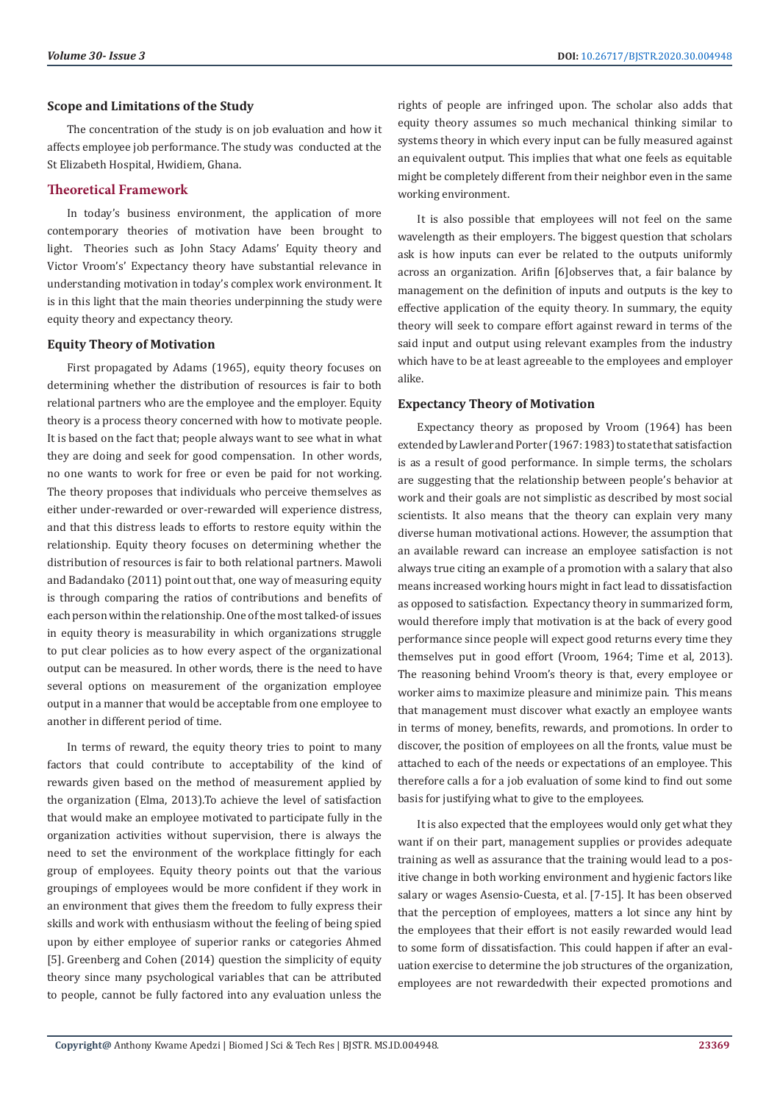#### **Scope and Limitations of the Study**

The concentration of the study is on job evaluation and how it affects employee job performance. The study was conducted at the St Elizabeth Hospital, Hwidiem, Ghana.

## **Theoretical Framework**

In today's business environment, the application of more contemporary theories of motivation have been brought to light. Theories such as John Stacy Adams' Equity theory and Victor Vroom's' Expectancy theory have substantial relevance in understanding motivation in today's complex work environment. It is in this light that the main theories underpinning the study were equity theory and expectancy theory.

#### **Equity Theory of Motivation**

First propagated by Adams (1965), equity theory focuses on determining whether the distribution of resources is fair to both relational partners who are the employee and the employer. Equity theory is a process theory concerned with how to motivate people. It is based on the fact that; people always want to see what in what they are doing and seek for good compensation. In other words, no one wants to work for free or even be paid for not working. The theory proposes that individuals who perceive themselves as either under-rewarded or over-rewarded will experience distress, and that this distress leads to efforts to restore equity within the relationship. Equity theory focuses on determining whether the distribution of resources is fair to both relational partners. Mawoli and Badandako (2011) point out that, one way of measuring equity is through comparing the ratios of contributions and benefits of each person within the relationship. One of the most talked-of issues in equity theory is measurability in which organizations struggle to put clear policies as to how every aspect of the organizational output can be measured. In other words, there is the need to have several options on measurement of the organization employee output in a manner that would be acceptable from one employee to another in different period of time.

In terms of reward, the equity theory tries to point to many factors that could contribute to acceptability of the kind of rewards given based on the method of measurement applied by the organization (Elma, 2013).To achieve the level of satisfaction that would make an employee motivated to participate fully in the organization activities without supervision, there is always the need to set the environment of the workplace fittingly for each group of employees. Equity theory points out that the various groupings of employees would be more confident if they work in an environment that gives them the freedom to fully express their skills and work with enthusiasm without the feeling of being spied upon by either employee of superior ranks or categories Ahmed [5]. Greenberg and Cohen (2014) question the simplicity of equity theory since many psychological variables that can be attributed to people, cannot be fully factored into any evaluation unless the

rights of people are infringed upon. The scholar also adds that equity theory assumes so much mechanical thinking similar to systems theory in which every input can be fully measured against an equivalent output. This implies that what one feels as equitable might be completely different from their neighbor even in the same working environment.

It is also possible that employees will not feel on the same wavelength as their employers. The biggest question that scholars ask is how inputs can ever be related to the outputs uniformly across an organization. Arifin [6]observes that, a fair balance by management on the definition of inputs and outputs is the key to effective application of the equity theory. In summary, the equity theory will seek to compare effort against reward in terms of the said input and output using relevant examples from the industry which have to be at least agreeable to the employees and employer alike.

### **Expectancy Theory of Motivation**

Expectancy theory as proposed by Vroom (1964) has been extended by Lawler and Porter (1967: 1983) to state that satisfaction is as a result of good performance. In simple terms, the scholars are suggesting that the relationship between people's behavior at work and their goals are not simplistic as described by most social scientists. It also means that the theory can explain very many diverse human motivational actions. However, the assumption that an available reward can increase an employee satisfaction is not always true citing an example of a promotion with a salary that also means increased working hours might in fact lead to dissatisfaction as opposed to satisfaction. Expectancy theory in summarized form, would therefore imply that motivation is at the back of every good performance since people will expect good returns every time they themselves put in good effort (Vroom, 1964; Time et al, 2013). The reasoning behind Vroom's theory is that, every employee or worker aims to maximize pleasure and minimize pain. This means that management must discover what exactly an employee wants in terms of money, benefits, rewards, and promotions. In order to discover, the position of employees on all the fronts, value must be attached to each of the needs or expectations of an employee. This therefore calls a for a job evaluation of some kind to find out some basis for justifying what to give to the employees.

It is also expected that the employees would only get what they want if on their part, management supplies or provides adequate training as well as assurance that the training would lead to a positive change in both working environment and hygienic factors like salary or wages Asensio-Cuesta, et al. [7-15]. It has been observed that the perception of employees, matters a lot since any hint by the employees that their effort is not easily rewarded would lead to some form of dissatisfaction. This could happen if after an evaluation exercise to determine the job structures of the organization, employees are not rewardedwith their expected promotions and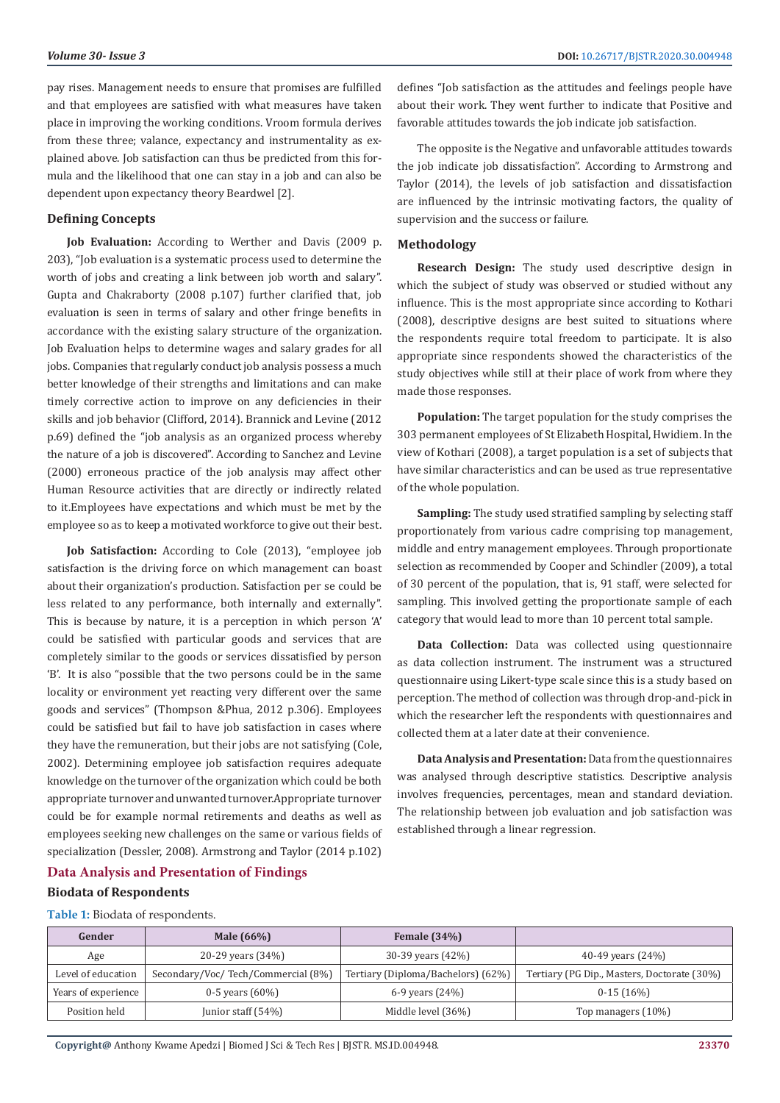pay rises. Management needs to ensure that promises are fulfilled and that employees are satisfied with what measures have taken place in improving the working conditions. Vroom formula derives from these three; valance, expectancy and instrumentality as explained above. Job satisfaction can thus be predicted from this formula and the likelihood that one can stay in a job and can also be dependent upon expectancy theory Beardwel [2].

#### **Defining Concepts**

**Job Evaluation:** According to Werther and Davis (2009 p. 203), "Job evaluation is a systematic process used to determine the worth of jobs and creating a link between job worth and salary". Gupta and Chakraborty (2008 p.107) further clarified that, job evaluation is seen in terms of salary and other fringe benefits in accordance with the existing salary structure of the organization. Job Evaluation helps to determine wages and salary grades for all jobs. Companies that regularly conduct job analysis possess a much better knowledge of their strengths and limitations and can make timely corrective action to improve on any deficiencies in their skills and job behavior (Clifford, 2014). Brannick and Levine (2012 p.69) defined the "job analysis as an organized process whereby the nature of a job is discovered". According to Sanchez and Levine (2000) erroneous practice of the job analysis may affect other Human Resource activities that are directly or indirectly related to it.Employees have expectations and which must be met by the employee so as to keep a motivated workforce to give out their best.

**Job Satisfaction:** According to Cole (2013), "employee job satisfaction is the driving force on which management can boast about their organization's production. Satisfaction per se could be less related to any performance, both internally and externally". This is because by nature, it is a perception in which person 'A' could be satisfied with particular goods and services that are completely similar to the goods or services dissatisfied by person 'B'. It is also "possible that the two persons could be in the same locality or environment yet reacting very different over the same goods and services" (Thompson &Phua, 2012 p.306). Employees could be satisfied but fail to have job satisfaction in cases where they have the remuneration, but their jobs are not satisfying (Cole, 2002). Determining employee job satisfaction requires adequate knowledge on the turnover of the organization which could be both appropriate turnover and unwanted turnover.Appropriate turnover could be for example normal retirements and deaths as well as employees seeking new challenges on the same or various fields of specialization (Dessler, 2008). Armstrong and Taylor (2014 p.102)

defines "Job satisfaction as the attitudes and feelings people have about their work. They went further to indicate that Positive and favorable attitudes towards the job indicate job satisfaction.

The opposite is the Negative and unfavorable attitudes towards the job indicate job dissatisfaction". According to Armstrong and Taylor (2014), the levels of job satisfaction and dissatisfaction are influenced by the intrinsic motivating factors, the quality of supervision and the success or failure.

#### **Methodology**

**Research Design:** The study used descriptive design in which the subject of study was observed or studied without any influence. This is the most appropriate since according to Kothari (2008), descriptive designs are best suited to situations where the respondents require total freedom to participate. It is also appropriate since respondents showed the characteristics of the study objectives while still at their place of work from where they made those responses.

**Population:** The target population for the study comprises the 303 permanent employees of St Elizabeth Hospital, Hwidiem. In the view of Kothari (2008), a target population is a set of subjects that have similar characteristics and can be used as true representative of the whole population.

**Sampling:** The study used stratified sampling by selecting staff proportionately from various cadre comprising top management, middle and entry management employees. Through proportionate selection as recommended by Cooper and Schindler (2009), a total of 30 percent of the population, that is, 91 staff, were selected for sampling. This involved getting the proportionate sample of each category that would lead to more than 10 percent total sample.

**Data Collection:** Data was collected using questionnaire as data collection instrument. The instrument was a structured questionnaire using Likert-type scale since this is a study based on perception. The method of collection was through drop-and-pick in which the researcher left the respondents with questionnaires and collected them at a later date at their convenience.

**Data Analysis and Presentation:** Data from the questionnaires was analysed through descriptive statistics. Descriptive analysis involves frequencies, percentages, mean and standard deviation. The relationship between job evaluation and job satisfaction was established through a linear regression.

# **Data Analysis and Presentation of Findings Biodata of Respondents**

#### **Table 1:** Biodata of respondents.

| Gender              | Male (66%)                         | Female $(34%)$                     |                                             |
|---------------------|------------------------------------|------------------------------------|---------------------------------------------|
| Age                 | 20-29 years (34%)                  | 30-39 years (42%)                  | 40-49 years $(24%)$                         |
| Level of education  | Secondary/Voc/Tech/Commercial (8%) | Tertiary (Diploma/Bachelors) (62%) | Tertiary (PG Dip., Masters, Doctorate (30%) |
| Years of experience | $0-5$ years $(60%)$                | 6-9 years $(24%)$                  | $0-15(16%)$                                 |
| Position held       | Junior staff $(54%)$               | Middle level (36%)                 | Top managers (10%)                          |

**Copyright@** Anthony Kwame Apedzi | Biomed J Sci & Tech Res | BJSTR. MS.ID.004948.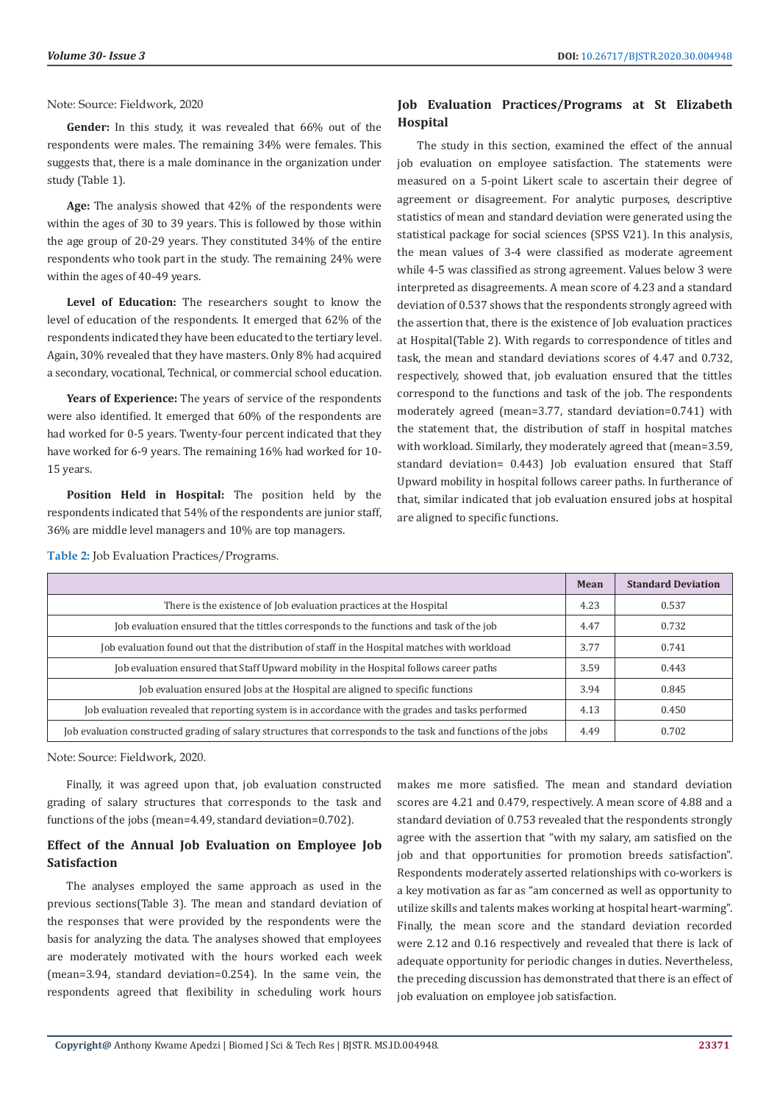Note: Source: Fieldwork, 2020

**Gender:** In this study, it was revealed that 66% out of the respondents were males. The remaining 34% were females. This suggests that, there is a male dominance in the organization under study (Table 1).

**Age:** The analysis showed that 42% of the respondents were within the ages of 30 to 39 years. This is followed by those within the age group of 20-29 years. They constituted 34% of the entire respondents who took part in the study. The remaining 24% were within the ages of 40-49 years.

**Level of Education:** The researchers sought to know the level of education of the respondents. It emerged that 62% of the respondents indicated they have been educated to the tertiary level. Again, 30% revealed that they have masters. Only 8% had acquired a secondary, vocational, Technical, or commercial school education.

**Years of Experience:** The years of service of the respondents were also identified. It emerged that 60% of the respondents are had worked for 0-5 years. Twenty-four percent indicated that they have worked for 6-9 years. The remaining 16% had worked for 10- 15 years.

**Position Held in Hospital:** The position held by the respondents indicated that 54% of the respondents are junior staff, 36% are middle level managers and 10% are top managers.

# **Job Evaluation Practices/Programs at St Elizabeth Hospital**

The study in this section, examined the effect of the annual job evaluation on employee satisfaction. The statements were measured on a 5-point Likert scale to ascertain their degree of agreement or disagreement. For analytic purposes, descriptive statistics of mean and standard deviation were generated using the statistical package for social sciences (SPSS V21). In this analysis, the mean values of 3-4 were classified as moderate agreement while 4-5 was classified as strong agreement. Values below 3 were interpreted as disagreements. A mean score of 4.23 and a standard deviation of 0.537 shows that the respondents strongly agreed with the assertion that, there is the existence of Job evaluation practices at Hospital(Table 2). With regards to correspondence of titles and task, the mean and standard deviations scores of 4.47 and 0.732, respectively, showed that, job evaluation ensured that the tittles correspond to the functions and task of the job. The respondents moderately agreed (mean=3.77, standard deviation=0.741) with the statement that, the distribution of staff in hospital matches with workload. Similarly, they moderately agreed that (mean=3.59, standard deviation= 0.443) Job evaluation ensured that Staff Upward mobility in hospital follows career paths. In furtherance of that, similar indicated that job evaluation ensured jobs at hospital are aligned to specific functions.

|                                                                                                                | Mean | <b>Standard Deviation</b> |
|----------------------------------------------------------------------------------------------------------------|------|---------------------------|
| There is the existence of Job evaluation practices at the Hospital                                             | 4.23 | 0.537                     |
| Job evaluation ensured that the tittles corresponds to the functions and task of the job                       | 4.47 | 0.732                     |
| Job evaluation found out that the distribution of staff in the Hospital matches with workload                  | 3.77 | 0.741                     |
| Job evaluation ensured that Staff Upward mobility in the Hospital follows career paths                         | 3.59 | 0.443                     |
| Job evaluation ensured Jobs at the Hospital are aligned to specific functions                                  | 3.94 | 0.845                     |
| Job evaluation revealed that reporting system is in accordance with the grades and tasks performed             | 4.13 | 0.450                     |
| Job evaluation constructed grading of salary structures that corresponds to the task and functions of the jobs | 4.49 | 0.702                     |

**Table 2:** Job Evaluation Practices/Programs.

Note: Source: Fieldwork, 2020.

Finally, it was agreed upon that, job evaluation constructed grading of salary structures that corresponds to the task and functions of the jobs (mean=4.49, standard deviation=0.702).

# **Effect of the Annual Job Evaluation on Employee Job Satisfaction**

The analyses employed the same approach as used in the previous sections(Table 3). The mean and standard deviation of the responses that were provided by the respondents were the basis for analyzing the data. The analyses showed that employees are moderately motivated with the hours worked each week (mean=3.94, standard deviation=0.254). In the same vein, the respondents agreed that flexibility in scheduling work hours

makes me more satisfied. The mean and standard deviation scores are 4.21 and 0.479, respectively. A mean score of 4.88 and a standard deviation of 0.753 revealed that the respondents strongly agree with the assertion that "with my salary, am satisfied on the job and that opportunities for promotion breeds satisfaction". Respondents moderately asserted relationships with co-workers is a key motivation as far as "am concerned as well as opportunity to utilize skills and talents makes working at hospital heart-warming". Finally, the mean score and the standard deviation recorded were 2.12 and 0.16 respectively and revealed that there is lack of adequate opportunity for periodic changes in duties. Nevertheless, the preceding discussion has demonstrated that there is an effect of job evaluation on employee job satisfaction.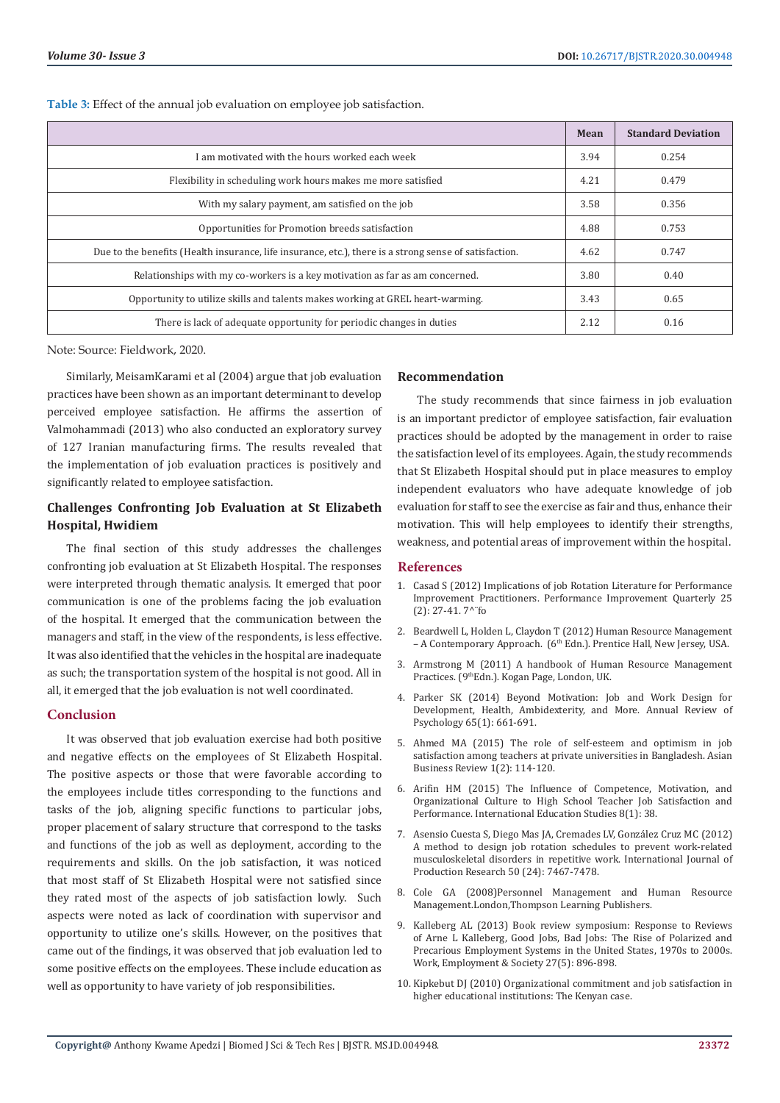**Table 3:** Effect of the annual job evaluation on employee job satisfaction.

|                                                                                                        | Mean | <b>Standard Deviation</b> |
|--------------------------------------------------------------------------------------------------------|------|---------------------------|
| I am motivated with the hours worked each week                                                         | 3.94 | 0.254                     |
| Flexibility in scheduling work hours makes me more satisfied                                           | 4.21 | 0.479                     |
| With my salary payment, am satisfied on the job                                                        | 3.58 | 0.356                     |
| Opportunities for Promotion breeds satisfaction                                                        | 4.88 | 0.753                     |
| Due to the benefits (Health insurance, life insurance, etc.), there is a strong sense of satisfaction. | 4.62 | 0.747                     |
| Relationships with my co-workers is a key motivation as far as am concerned.                           | 3.80 | 0.40                      |
| Opportunity to utilize skills and talents makes working at GREL heart-warming.                         | 3.43 | 0.65                      |
| There is lack of adequate opportunity for periodic changes in duties                                   | 2.12 | 0.16                      |

Note: Source: Fieldwork, 2020.

Similarly, MeisamKarami et al (2004) argue that job evaluation practices have been shown as an important determinant to develop perceived employee satisfaction. He affirms the assertion of Valmohammadi (2013) who also conducted an exploratory survey of 127 Iranian manufacturing firms. The results revealed that the implementation of job evaluation practices is positively and significantly related to employee satisfaction.

# **Challenges Confronting Job Evaluation at St Elizabeth Hospital, Hwidiem**

The final section of this study addresses the challenges confronting job evaluation at St Elizabeth Hospital. The responses were interpreted through thematic analysis. It emerged that poor communication is one of the problems facing the job evaluation of the hospital. It emerged that the communication between the managers and staff, in the view of the respondents, is less effective. It was also identified that the vehicles in the hospital are inadequate as such; the transportation system of the hospital is not good. All in all, it emerged that the job evaluation is not well coordinated.

#### **Conclusion**

It was observed that job evaluation exercise had both positive and negative effects on the employees of St Elizabeth Hospital. The positive aspects or those that were favorable according to the employees include titles corresponding to the functions and tasks of the job, aligning specific functions to particular jobs, proper placement of salary structure that correspond to the tasks and functions of the job as well as deployment, according to the requirements and skills. On the job satisfaction, it was noticed that most staff of St Elizabeth Hospital were not satisfied since they rated most of the aspects of job satisfaction lowly. Such aspects were noted as lack of coordination with supervisor and opportunity to utilize one's skills. However, on the positives that came out of the findings, it was observed that job evaluation led to some positive effects on the employees. These include education as well as opportunity to have variety of job responsibilities.

#### **Recommendation**

The study recommends that since fairness in job evaluation is an important predictor of employee satisfaction, fair evaluation practices should be adopted by the management in order to raise the satisfaction level of its employees. Again, the study recommends that St Elizabeth Hospital should put in place measures to employ independent evaluators who have adequate knowledge of job evaluation for staff to see the exercise as fair and thus, enhance their motivation. This will help employees to identify their strengths, weakness, and potential areas of improvement within the hospital.

#### **References**

- 1. Casad S (2012) Implications of job Rotation Literature for Performance Improvement Practitioners. Performance Improvement Quarterly 25 (2): 27-41. 7^¨fo
- 2. Beardwell L, Holden L, Claydon T (2012) Human Resource Management – A Contemporary Approach. (6th Edn.). Prentice Hall, New Jersey, USA.
- 3. Armstrong M (2011) A handbook of Human Resource Management Practices. (9thEdn.). Kogan Page, London, UK.
- 4. [Parker SK \(2014\) Beyond Motivation: Job and Work Design for](https://goal-lab.psych.umn.edu/orgPsych/readings/5.%20Motivation/Parker%20(2014)%20Beyond%20motivation%20-%20job%20and%20work%20design.pdf) [Development, Health, Ambidexterity, and More. Annual Review of](https://goal-lab.psych.umn.edu/orgPsych/readings/5.%20Motivation/Parker%20(2014)%20Beyond%20motivation%20-%20job%20and%20work%20design.pdf) [Psychology 65\(1\): 661-691.](https://goal-lab.psych.umn.edu/orgPsych/readings/5.%20Motivation/Parker%20(2014)%20Beyond%20motivation%20-%20job%20and%20work%20design.pdf)
- 5. Ahmed MA (2015) The role of self-esteem and optimism in job satisfaction among teachers at private universities in Bangladesh. Asian Business Review 1(2): 114-120.
- 6. [Arifin HM \(2015\) The Influence of Competence, Motivation, and](https://files.eric.ed.gov/fulltext/EJ1060782.pdf) [Organizational Culture to High School Teacher Job Satisfaction and](https://files.eric.ed.gov/fulltext/EJ1060782.pdf) [Performance. International Education Studies 8\(1\): 38.](https://files.eric.ed.gov/fulltext/EJ1060782.pdf)
- 7. Asensio Cuesta S, Diego Mas JA, Cremades LV, González Cruz MC (2012) A method to design job rotation schedules to prevent work-related musculoskeletal disorders in repetitive work. International Journal of Production Research 50 (24): 7467-7478.
- 8. Cole GA (2008)Personnel Management and Human Resource Management.London,Thompson Learning Publishers.
- 9. [Kalleberg AL \(2013\) Book review symposium: Response to Reviews](https://journals.sagepub.com/doi/abs/10.1177/0950017013480403) [of Arne L Kalleberg, Good Jobs, Bad Jobs: The Rise of Polarized and](https://journals.sagepub.com/doi/abs/10.1177/0950017013480403) [Precarious Employment Systems in the United States, 1970s to 2000s.](https://journals.sagepub.com/doi/abs/10.1177/0950017013480403) [Work, Employment & Society 27\(5\): 896-898.](https://journals.sagepub.com/doi/abs/10.1177/0950017013480403)
- 10. [Kipkebut DJ \(2010\) Organizational commitment and job satisfaction in](http://eprints.mdx.ac.uk/6509/) [higher educational institutions: The Kenyan case.](http://eprints.mdx.ac.uk/6509/)